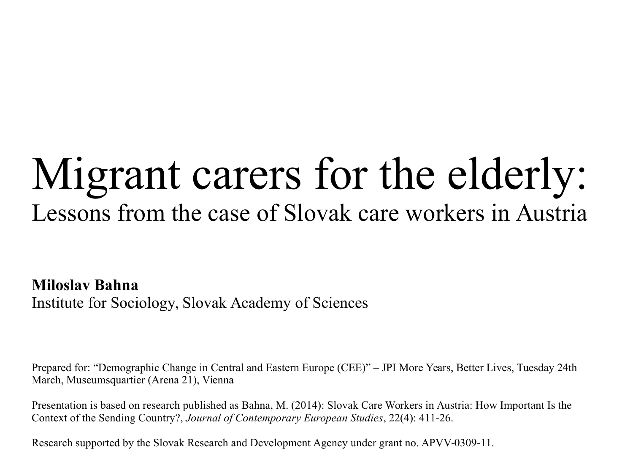# Migrant carers for the elderly: Lessons from the case of Slovak care workers in Austria

**Miloslav Bahna** Institute for Sociology, Slovak Academy of Sciences

Prepared for: "Demographic Change in Central and Eastern Europe (CEE)" – JPI More Years, Better Lives, Tuesday 24th March, Museumsquartier (Arena 21), Vienna

Presentation is based on research published as Bahna, M. (2014): Slovak Care Workers in Austria: How Important Is the Context of the Sending Country?, *Journal of Contemporary European Studies*, 22(4): 411-26.

Research supported by the Slovak Research and Development Agency under grant no. APVV-0309-11.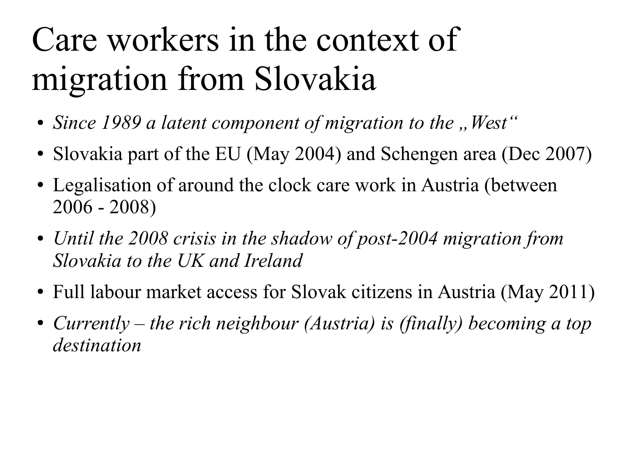# Care workers in the context of migration from Slovakia

- Since 1989 a latent component of migration to the "West"
- Slovakia part of the EU (May 2004) and Schengen area (Dec 2007)
- Legalisation of around the clock care work in Austria (between 2006 - 2008)
- *Until the 2008 crisis in the shadow of post-2004 migration from Slovakia to the UK and Ireland*
- Full labour market access for Slovak citizens in Austria (May 2011)
- Currently the rich neighbour (Austria) is (finally) becoming a top *destination*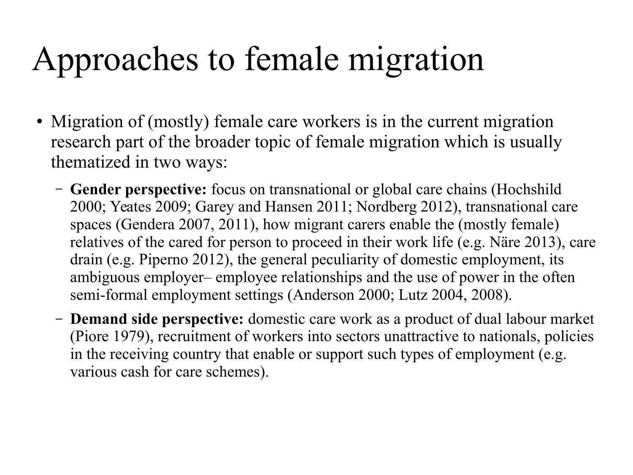# Approaches to female migration

- Migration of (mostly) female care workers is in the current migration research part of the broader topic of female migration which is usually thematized in two ways:
	- **Gender perspective:** focus on transnational or global care chains (Hochshild 2000; Yeates 2009; Garey and Hansen 2011; Nordberg 2012), transnational care spaces (Gendera 2007, 2011), how migrant carers enable the (mostly female) relatives of the cared for person to proceed in their work life (e.g. Näre 2013), care drain (e.g. Piperno 2012), the general peculiarity of domestic employment, its ambiguous employer– employee relationships and the use of power in the often semi-formal employment settings (Anderson 2000; Lutz 2004, 2008).
	- **Demand side perspective:** domestic care work as a product of dual labour market (Piore 1979), recruitment of workers into sectors unattractive to nationals, policies in the receiving country that enable or support such types of employment (e.g. various cash for care schemes).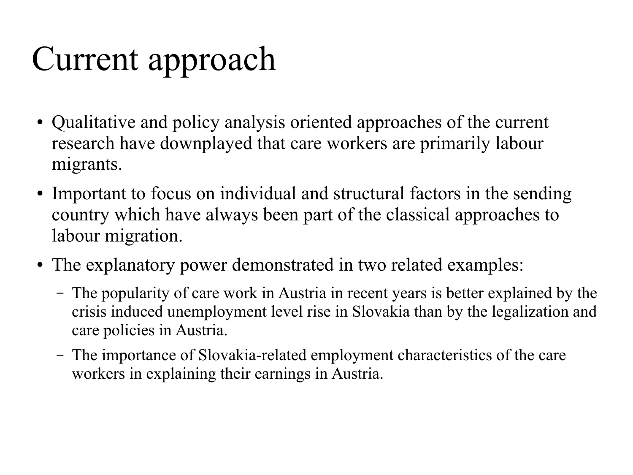# Current approach

- Qualitative and policy analysis oriented approaches of the current research have downplayed that care workers are primarily labour migrants.
- Important to focus on individual and structural factors in the sending country which have always been part of the classical approaches to labour migration.
- The explanatory power demonstrated in two related examples:
	- The popularity of care work in Austria in recent years is better explained by the crisis induced unemployment level rise in Slovakia than by the legalization and care policies in Austria.
	- The importance of Slovakia-related employment characteristics of the care workers in explaining their earnings in Austria.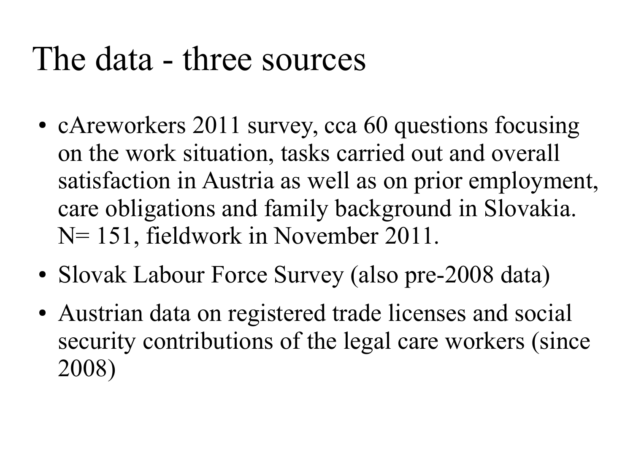## The data - three sources

- cAreworkers 2011 survey, cca 60 questions focusing on the work situation, tasks carried out and overall satisfaction in Austria as well as on prior employment, care obligations and family background in Slovakia. N= 151, fieldwork in November 2011.
- Slovak Labour Force Survey (also pre-2008 data)
- Austrian data on registered trade licenses and social security contributions of the legal care workers (since 2008)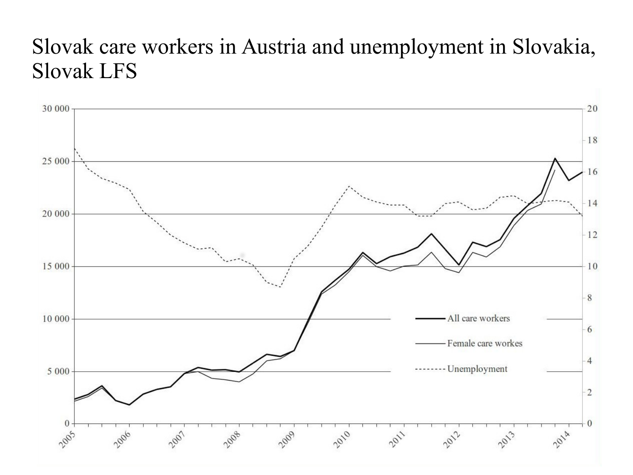#### Slovak care workers in Austria and unemployment in Slovakia, Slovak LFS

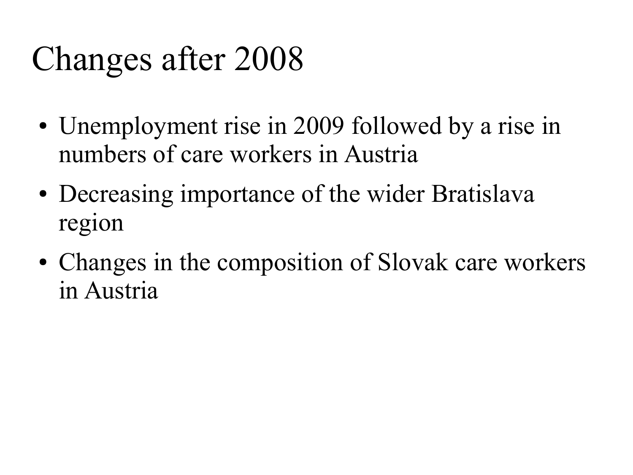# Changes after 2008

- Unemployment rise in 2009 followed by a rise in numbers of care workers in Austria
- Decreasing importance of the wider Bratislava region
- Changes in the composition of Slovak care workers in Austria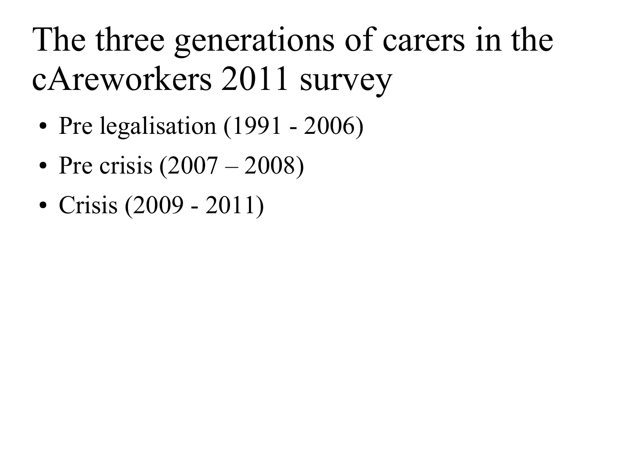# The three generations of carers in the cAreworkers 2011 survey

- Pre legalisation  $(1991 2006)$
- Pre crisis  $(2007 2008)$
- Crisis (2009 2011)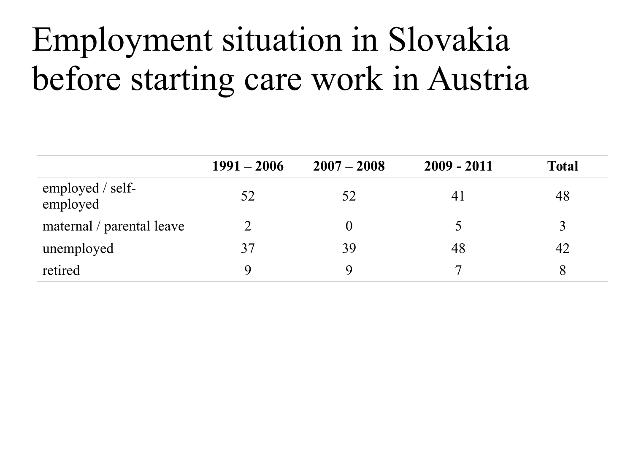# Employment situation in Slovakia before starting care work in Austria

|                              | $1991 - 2006$ | $2007 - 2008$ | $2009 - 2011$         | <b>Total</b> |
|------------------------------|---------------|---------------|-----------------------|--------------|
| employed / self-<br>employed | 52            | 52            | $\mathcal{A}^{\cdot}$ | 48           |
| maternal / parental leave    |               |               |                       |              |
| unemployed                   | 37            | 39            | 48                    | 42           |
| retired                      |               | Q             |                       |              |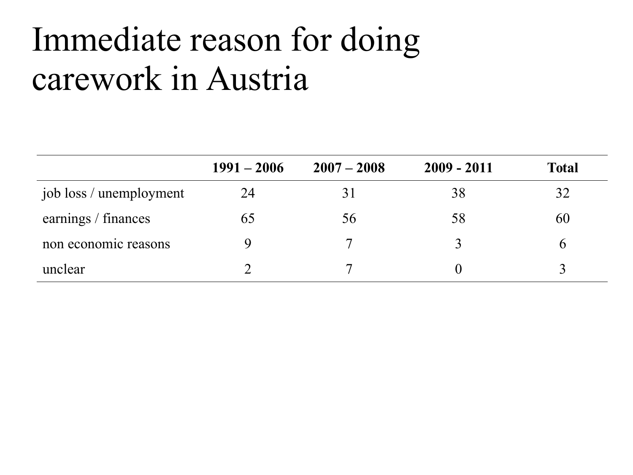# Immediate reason for doing carework in Austria

|                         | $1991 - 2006$ | $2007 - 2008$ | $2009 - 2011$ | <b>Total</b> |
|-------------------------|---------------|---------------|---------------|--------------|
| job loss / unemployment | 24            | 31            | 38            | 32           |
| earnings / finances     | 65            | 56            | 58            | 60           |
| non economic reasons    |               |               |               |              |
| unclear                 |               | ៗ             |               |              |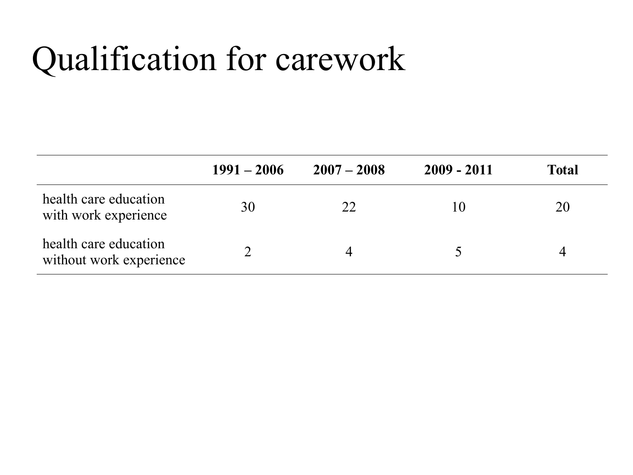# Qualification for carework

|                                                  | $1991 - 2006$ | $2007 - 2008$ | $2009 - 2011$ | <b>Total</b> |
|--------------------------------------------------|---------------|---------------|---------------|--------------|
| health care education<br>with work experience    | 30            | 22            |               | 20           |
| health care education<br>without work experience |               | 4             |               |              |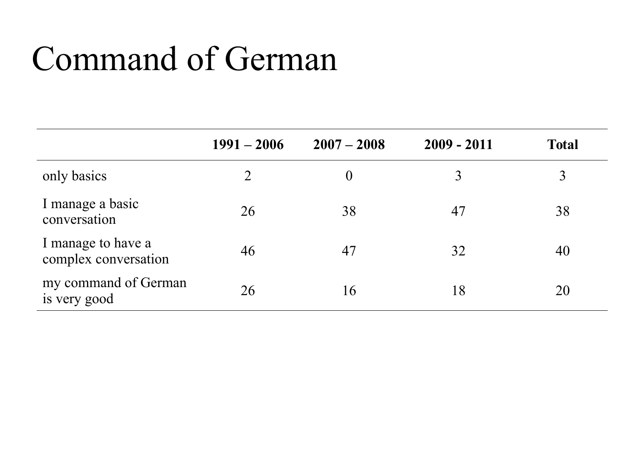# Command of German

|                                            | $1991 - 2006$ | $2007 - 2008$ | $2009 - 2011$ | <b>Total</b> |
|--------------------------------------------|---------------|---------------|---------------|--------------|
| only basics                                | 2             | $\theta$      |               | 3            |
| I manage a basic<br>conversation           | 26            | 38            | 47            | 38           |
| I manage to have a<br>complex conversation | 46            | 47            | 32            | 40           |
| my command of German<br>is very good       | 26            | 16            | 18            | 20           |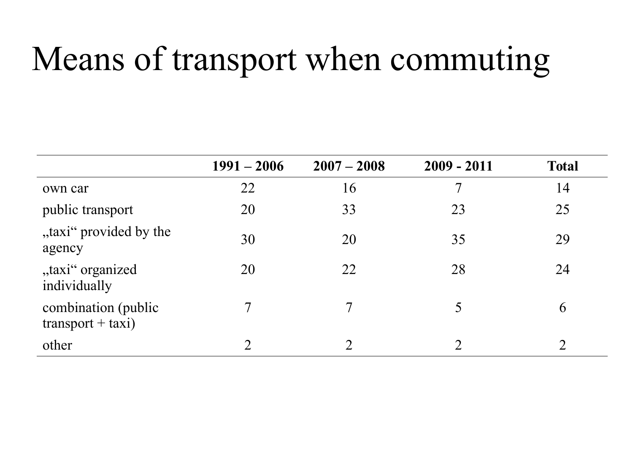# Means of transport when commuting

|                                             | $1991 - 2006$ | $2007 - 2008$  | $2009 - 2011$ | <b>Total</b>  |
|---------------------------------------------|---------------|----------------|---------------|---------------|
| own car                                     | 22            | 16             |               | 14            |
| public transport                            | 20            | 33             | 23            | 25            |
| "taxi" provided by the<br>agency            | 30            | 20             | 35            | 29            |
| "taxi" organized<br>individually            | 20            | 22             | 28            | 24            |
| combination (public)<br>$transport + taxi)$ |               | 7              | 5             | 6             |
| other                                       |               | $\overline{2}$ |               | $\mathcal{D}$ |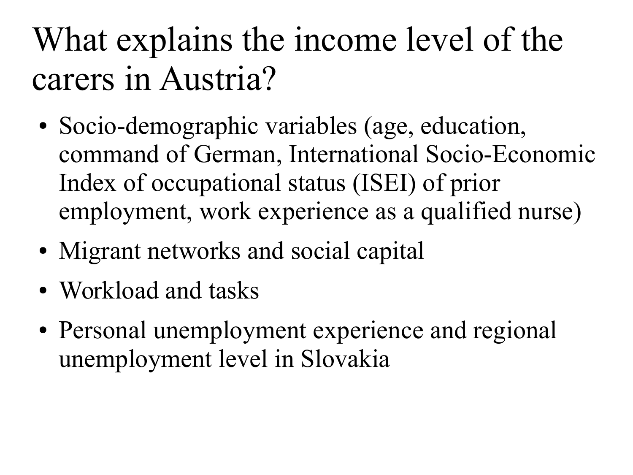# What explains the income level of the carers in Austria?

- Socio-demographic variables (age, education, command of German, International Socio-Economic Index of occupational status (ISEI) of prior employment, work experience as a qualified nurse)
- Migrant networks and social capital
- Workload and tasks
- Personal unemployment experience and regional unemployment level in Slovakia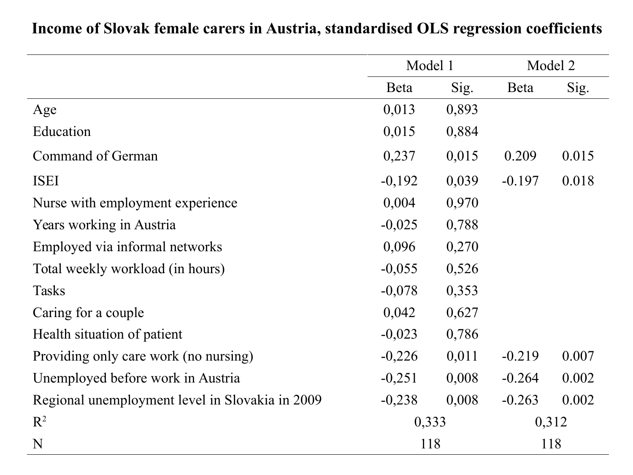|                                                 |          | Model 1 |             | Model 2 |  |
|-------------------------------------------------|----------|---------|-------------|---------|--|
|                                                 | Beta     | Sig.    | <b>Beta</b> | Sig.    |  |
| Age                                             | 0,013    | 0,893   |             |         |  |
| Education                                       | 0,015    | 0,884   |             |         |  |
| Command of German                               | 0,237    | 0,015   | 0.209       | 0.015   |  |
| <b>ISEI</b>                                     | $-0,192$ | 0,039   | $-0.197$    | 0.018   |  |
| Nurse with employment experience                | 0,004    | 0,970   |             |         |  |
| Years working in Austria                        | $-0,025$ | 0,788   |             |         |  |
| Employed via informal networks                  | 0,096    | 0,270   |             |         |  |
| Total weekly workload (in hours)                | $-0,055$ | 0,526   |             |         |  |
| <b>Tasks</b>                                    | $-0,078$ | 0,353   |             |         |  |
| Caring for a couple                             | 0,042    | 0,627   |             |         |  |
| Health situation of patient                     | $-0,023$ | 0,786   |             |         |  |
| Providing only care work (no nursing)           | $-0,226$ | 0,011   | $-0.219$    | 0.007   |  |
| Unemployed before work in Austria               | $-0,251$ | 0,008   | $-0.264$    | 0.002   |  |
| Regional unemployment level in Slovakia in 2009 | $-0,238$ | 0,008   | $-0.263$    | 0.002   |  |
| $R^2$                                           | 0,333    |         |             | 0,312   |  |
| N                                               | 118      |         |             | 118     |  |

#### **Income of Slovak female carers in Austria, standardised OLS regression coefficients**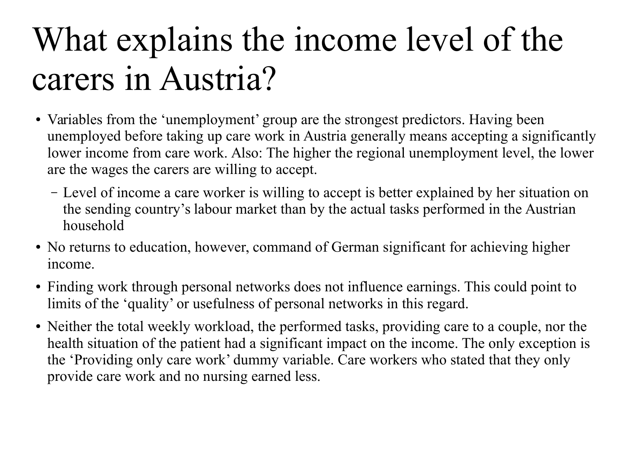# What explains the income level of the carers in Austria?

- Variables from the 'unemployment' group are the strongest predictors. Having been unemployed before taking up care work in Austria generally means accepting a significantly lower income from care work. Also: The higher the regional unemployment level, the lower are the wages the carers are willing to accept.
	- Level of income a care worker is willing to accept is better explained by her situation on the sending country's labour market than by the actual tasks performed in the Austrian household
- No returns to education, however, command of German significant for achieving higher income.
- Finding work through personal networks does not influence earnings. This could point to limits of the 'quality' or usefulness of personal networks in this regard.
- Neither the total weekly workload, the performed tasks, providing care to a couple, nor the health situation of the patient had a significant impact on the income. The only exception is the 'Providing only care work' dummy variable. Care workers who stated that they only provide care work and no nursing earned less.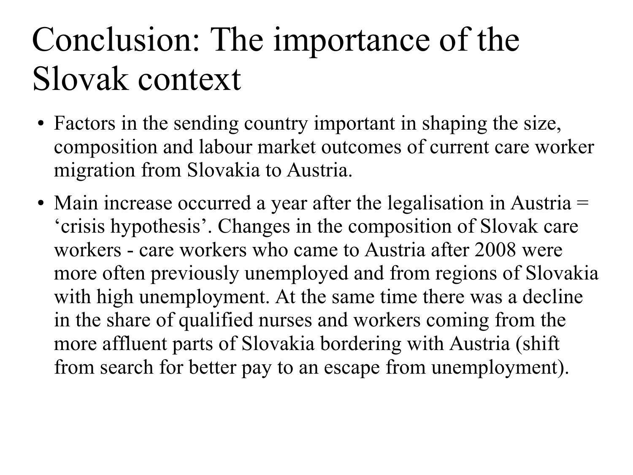# Conclusion: The importance of the Slovak context

- Factors in the sending country important in shaping the size, composition and labour market outcomes of current care worker migration from Slovakia to Austria.
- Main increase occurred a year after the legalisation in Austria  $=$ 'crisis hypothesis'. Changes in the composition of Slovak care workers - care workers who came to Austria after 2008 were more often previously unemployed and from regions of Slovakia with high unemployment. At the same time there was a decline in the share of qualified nurses and workers coming from the more affluent parts of Slovakia bordering with Austria (shift from search for better pay to an escape from unemployment).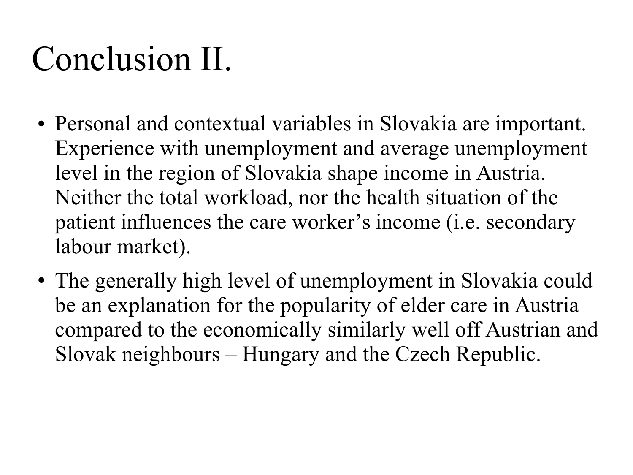# Conclusion II.

- Personal and contextual variables in Slovakia are important. Experience with unemployment and average unemployment level in the region of Slovakia shape income in Austria. Neither the total workload, nor the health situation of the patient influences the care worker's income (i.e. secondary labour market).
- The generally high level of unemployment in Slovakia could be an explanation for the popularity of elder care in Austria compared to the economically similarly well off Austrian and Slovak neighbours – Hungary and the Czech Republic.